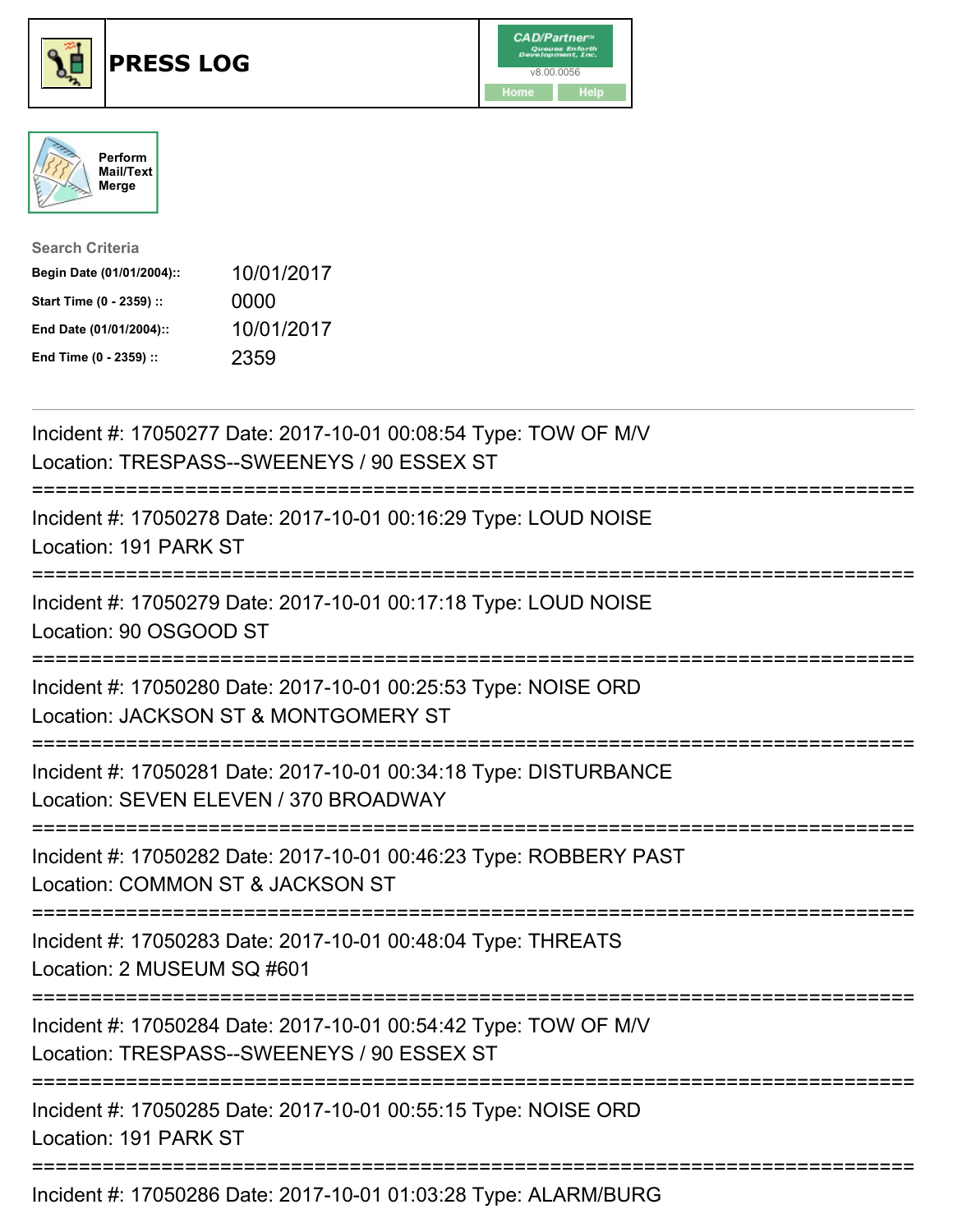





| <b>Search Criteria</b>    |            |
|---------------------------|------------|
| Begin Date (01/01/2004):: | 10/01/2017 |
| Start Time (0 - 2359) ::  | 0000       |
| End Date (01/01/2004)::   | 10/01/2017 |
| End Time (0 - 2359) ::    | 2359       |

| Incident #: 17050277 Date: 2017-10-01 00:08:54 Type: TOW OF M/V<br>Location: TRESPASS--SWEENEYS / 90 ESSEX ST                       |
|-------------------------------------------------------------------------------------------------------------------------------------|
| Incident #: 17050278 Date: 2017-10-01 00:16:29 Type: LOUD NOISE<br>Location: 191 PARK ST<br>-----------                             |
| Incident #: 17050279 Date: 2017-10-01 00:17:18 Type: LOUD NOISE<br>Location: 90 OSGOOD ST                                           |
| Incident #: 17050280 Date: 2017-10-01 00:25:53 Type: NOISE ORD<br>Location: JACKSON ST & MONTGOMERY ST<br>:======================== |
| Incident #: 17050281 Date: 2017-10-01 00:34:18 Type: DISTURBANCE<br>Location: SEVEN ELEVEN / 370 BROADWAY                           |
| Incident #: 17050282 Date: 2017-10-01 00:46:23 Type: ROBBERY PAST<br>Location: COMMON ST & JACKSON ST<br>========================== |
| Incident #: 17050283 Date: 2017-10-01 00:48:04 Type: THREATS<br>Location: 2 MUSEUM SQ #601<br>=====================                 |
| Incident #: 17050284 Date: 2017-10-01 00:54:42 Type: TOW OF M/V<br>Location: TRESPASS--SWEENEYS / 90 ESSEX ST                       |
| Incident #: 17050285 Date: 2017-10-01 00:55:15 Type: NOISE ORD<br>Location: 191 PARK ST                                             |
| Incident #: 17050286 Date: 2017-10-01 01:03:28 Type: ALARM/BURG                                                                     |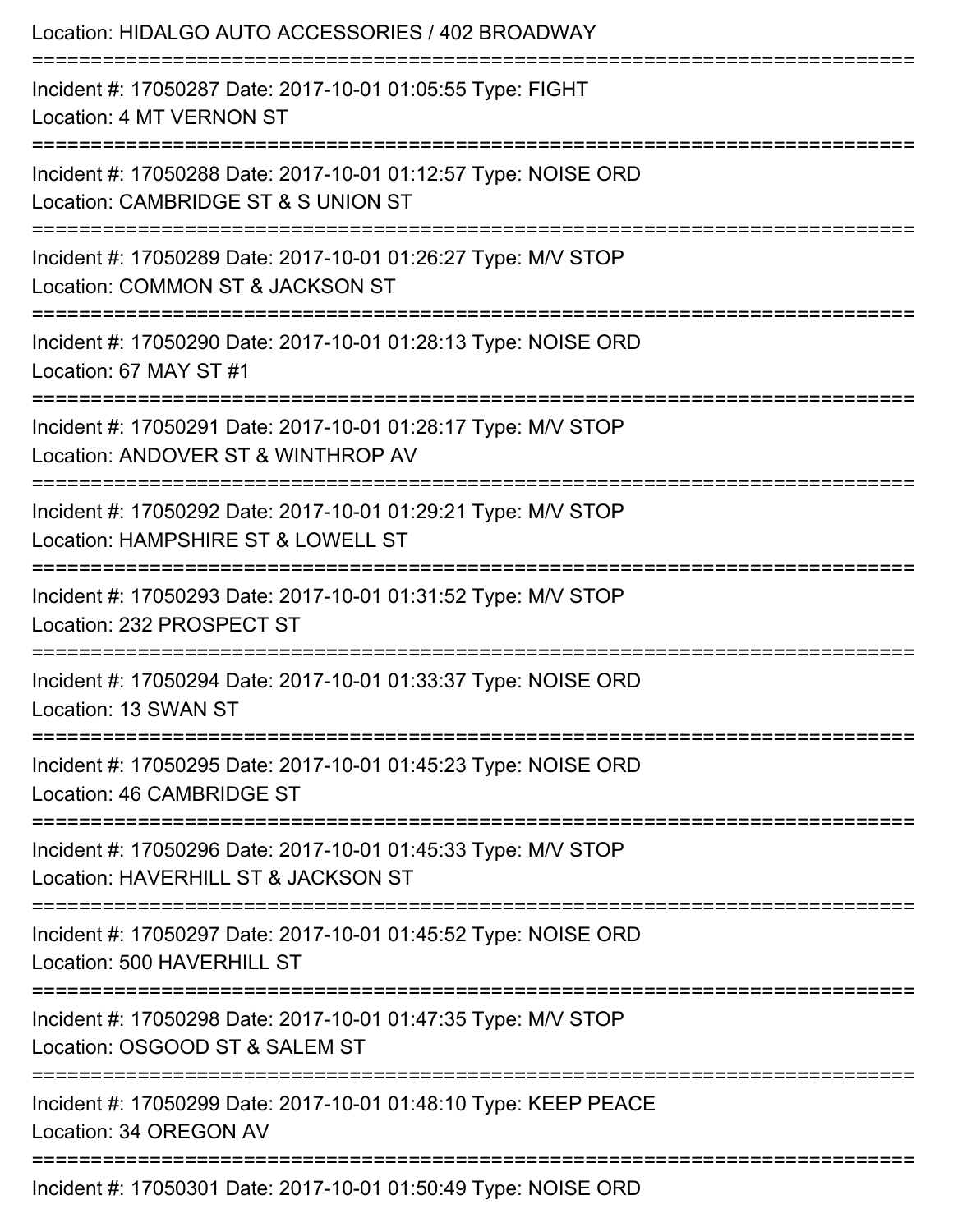| Location: HIDALGO AUTO ACCESSORIES / 402 BROADWAY                                                                                  |
|------------------------------------------------------------------------------------------------------------------------------------|
| Incident #: 17050287 Date: 2017-10-01 01:05:55 Type: FIGHT<br>Location: 4 MT VERNON ST                                             |
| Incident #: 17050288 Date: 2017-10-01 01:12:57 Type: NOISE ORD<br>Location: CAMBRIDGE ST & S UNION ST                              |
| Incident #: 17050289 Date: 2017-10-01 01:26:27 Type: M/V STOP<br>Location: COMMON ST & JACKSON ST<br>:============================ |
| Incident #: 17050290 Date: 2017-10-01 01:28:13 Type: NOISE ORD<br>Location: 67 MAY ST #1                                           |
| Incident #: 17050291 Date: 2017-10-01 01:28:17 Type: M/V STOP<br>Location: ANDOVER ST & WINTHROP AV                                |
| ===================<br>Incident #: 17050292 Date: 2017-10-01 01:29:21 Type: M/V STOP<br>Location: HAMPSHIRE ST & LOWELL ST         |
| .====================<br>Incident #: 17050293 Date: 2017-10-01 01:31:52 Type: M/V STOP<br>Location: 232 PROSPECT ST                |
| Incident #: 17050294 Date: 2017-10-01 01:33:37 Type: NOISE ORD<br>Location: 13 SWAN ST                                             |
| :================================<br>Incident #: 17050295 Date: 2017-10-01 01:45:23 Type: NOISE ORD<br>Location: 46 CAMBRIDGE ST   |
| ------------<br>Incident #: 17050296 Date: 2017-10-01 01:45:33 Type: M/V STOP<br>Location: HAVERHILL ST & JACKSON ST               |
| Incident #: 17050297 Date: 2017-10-01 01:45:52 Type: NOISE ORD<br>Location: 500 HAVERHILL ST                                       |
| Incident #: 17050298 Date: 2017-10-01 01:47:35 Type: M/V STOP<br>Location: OSGOOD ST & SALEM ST                                    |
| Incident #: 17050299 Date: 2017-10-01 01:48:10 Type: KEEP PEACE<br>Location: 34 OREGON AV                                          |
| Incident #: 17050301 Date: 2017-10-01 01:50:49 Type: NOISE ORD                                                                     |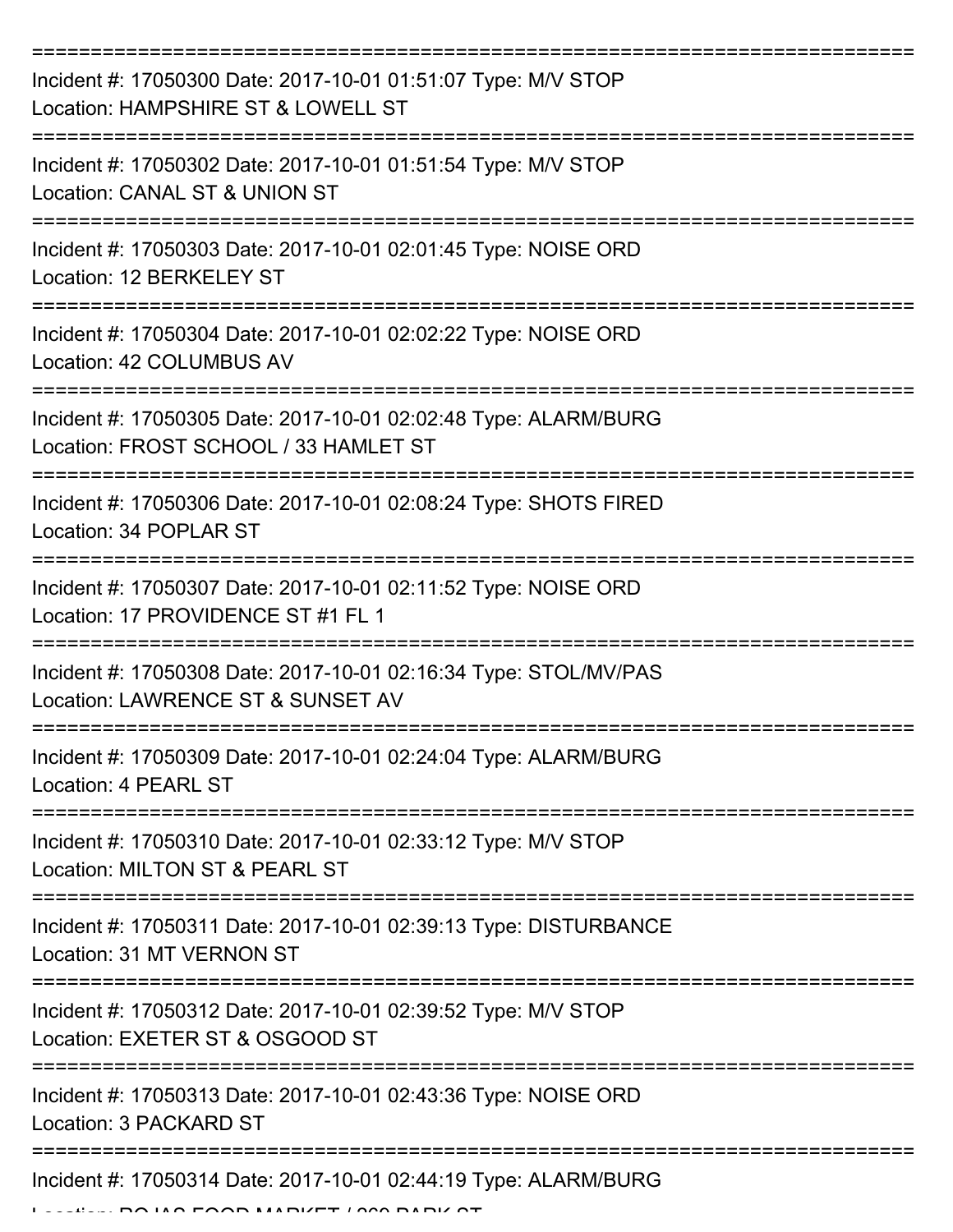| Incident #: 17050300 Date: 2017-10-01 01:51:07 Type: M/V STOP<br>Location: HAMPSHIRE ST & LOWELL ST                |
|--------------------------------------------------------------------------------------------------------------------|
| Incident #: 17050302 Date: 2017-10-01 01:51:54 Type: M/V STOP<br>Location: CANAL ST & UNION ST                     |
| Incident #: 17050303 Date: 2017-10-01 02:01:45 Type: NOISE ORD<br>Location: 12 BERKELEY ST                         |
| Incident #: 17050304 Date: 2017-10-01 02:02:22 Type: NOISE ORD<br>Location: 42 COLUMBUS AV                         |
| Incident #: 17050305 Date: 2017-10-01 02:02:48 Type: ALARM/BURG<br>Location: FROST SCHOOL / 33 HAMLET ST           |
| Incident #: 17050306 Date: 2017-10-01 02:08:24 Type: SHOTS FIRED<br>Location: 34 POPLAR ST                         |
| Incident #: 17050307 Date: 2017-10-01 02:11:52 Type: NOISE ORD<br>Location: 17 PROVIDENCE ST #1 FL 1               |
| Incident #: 17050308 Date: 2017-10-01 02:16:34 Type: STOL/MV/PAS<br>Location: LAWRENCE ST & SUNSET AV              |
| Incident #: 17050309 Date: 2017-10-01 02:24:04 Type: ALARM/BURG<br>Location: 4 PEARL ST                            |
| ---------------<br>Incident #: 17050310 Date: 2017-10-01 02:33:12 Type: M/V STOP<br>Location: MILTON ST & PEARL ST |
| Incident #: 17050311 Date: 2017-10-01 02:39:13 Type: DISTURBANCE<br>Location: 31 MT VERNON ST                      |
| Incident #: 17050312 Date: 2017-10-01 02:39:52 Type: M/V STOP<br>Location: EXETER ST & OSGOOD ST                   |
| Incident #: 17050313 Date: 2017-10-01 02:43:36 Type: NOISE ORD<br>Location: 3 PACKARD ST                           |
| Incident #: 17050314 Date: 2017-10-01 02:44:19 Type: ALARM/BURG                                                    |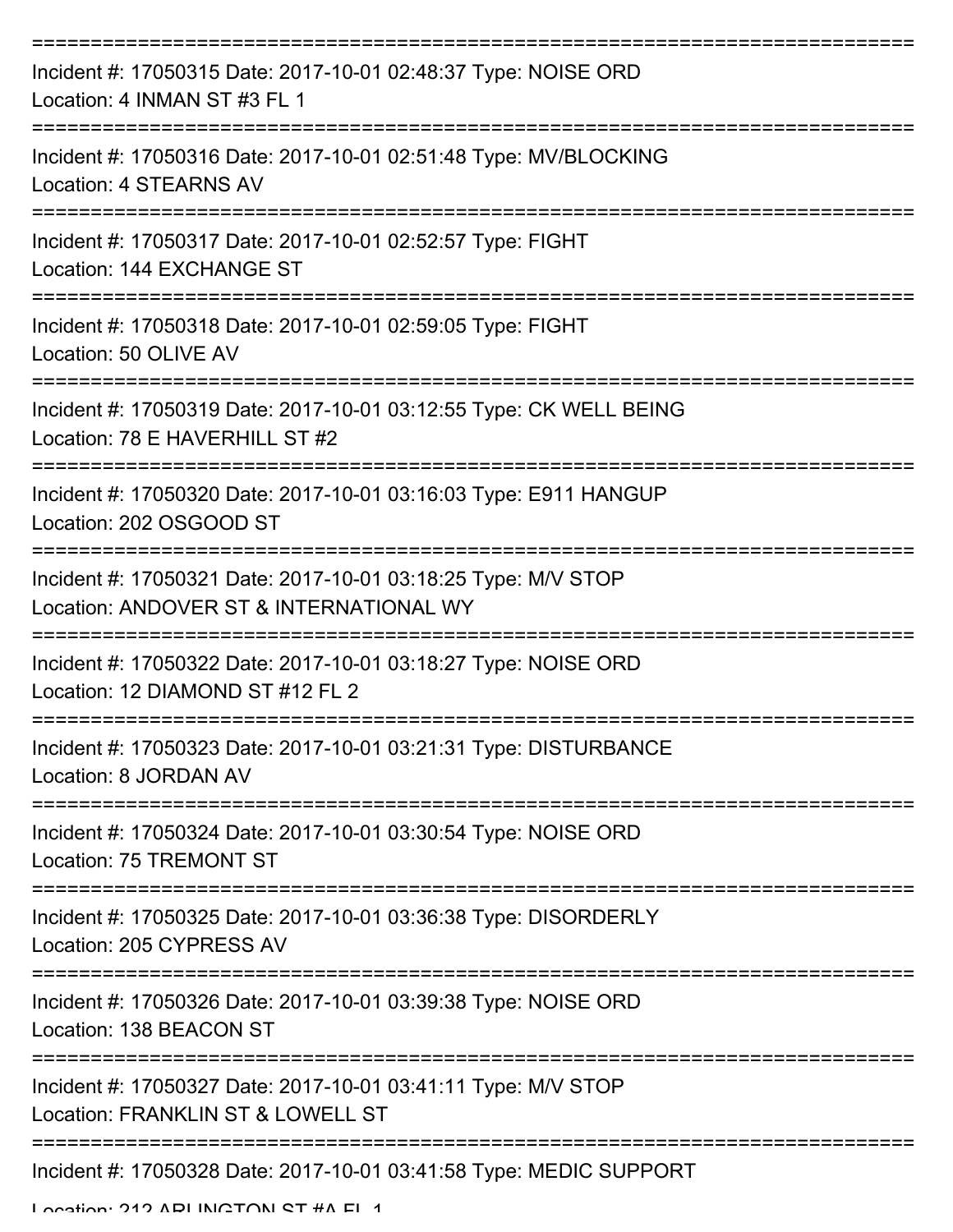| Incident #: 17050315 Date: 2017-10-01 02:48:37 Type: NOISE ORD<br>Location: 4 INMAN ST #3 FL 1               |
|--------------------------------------------------------------------------------------------------------------|
| Incident #: 17050316 Date: 2017-10-01 02:51:48 Type: MV/BLOCKING<br>Location: 4 STEARNS AV                   |
| Incident #: 17050317 Date: 2017-10-01 02:52:57 Type: FIGHT<br>Location: 144 EXCHANGE ST                      |
| Incident #: 17050318 Date: 2017-10-01 02:59:05 Type: FIGHT<br>Location: 50 OLIVE AV                          |
| Incident #: 17050319 Date: 2017-10-01 03:12:55 Type: CK WELL BEING<br>Location: 78 E HAVERHILL ST #2         |
| Incident #: 17050320 Date: 2017-10-01 03:16:03 Type: E911 HANGUP<br>Location: 202 OSGOOD ST                  |
| Incident #: 17050321 Date: 2017-10-01 03:18:25 Type: M/V STOP<br>Location: ANDOVER ST & INTERNATIONAL WY     |
| Incident #: 17050322 Date: 2017-10-01 03:18:27 Type: NOISE ORD<br>Location: 12 DIAMOND ST #12 FL 2           |
| Incident #: 17050323 Date: 2017-10-01 03:21:31 Type: DISTURBANCE<br>Location: 8 JORDAN AV                    |
| Incident #: 17050324 Date: 2017-10-01 03:30:54 Type: NOISE ORD<br>Location: 75 TREMONT ST                    |
| Incident #: 17050325 Date: 2017-10-01 03:36:38 Type: DISORDERLY<br>Location: 205 CYPRESS AV                  |
| Incident #: 17050326 Date: 2017-10-01 03:39:38 Type: NOISE ORD<br>Location: 138 BEACON ST                    |
| Incident #: 17050327 Date: 2017-10-01 03:41:11 Type: M/V STOP<br>Location: FRANKLIN ST & LOWELL ST           |
| Incident #: 17050328 Date: 2017-10-01 03:41:58 Type: MEDIC SUPPORT<br>I opation: 212 ADI INICTONI CT #A EI 1 |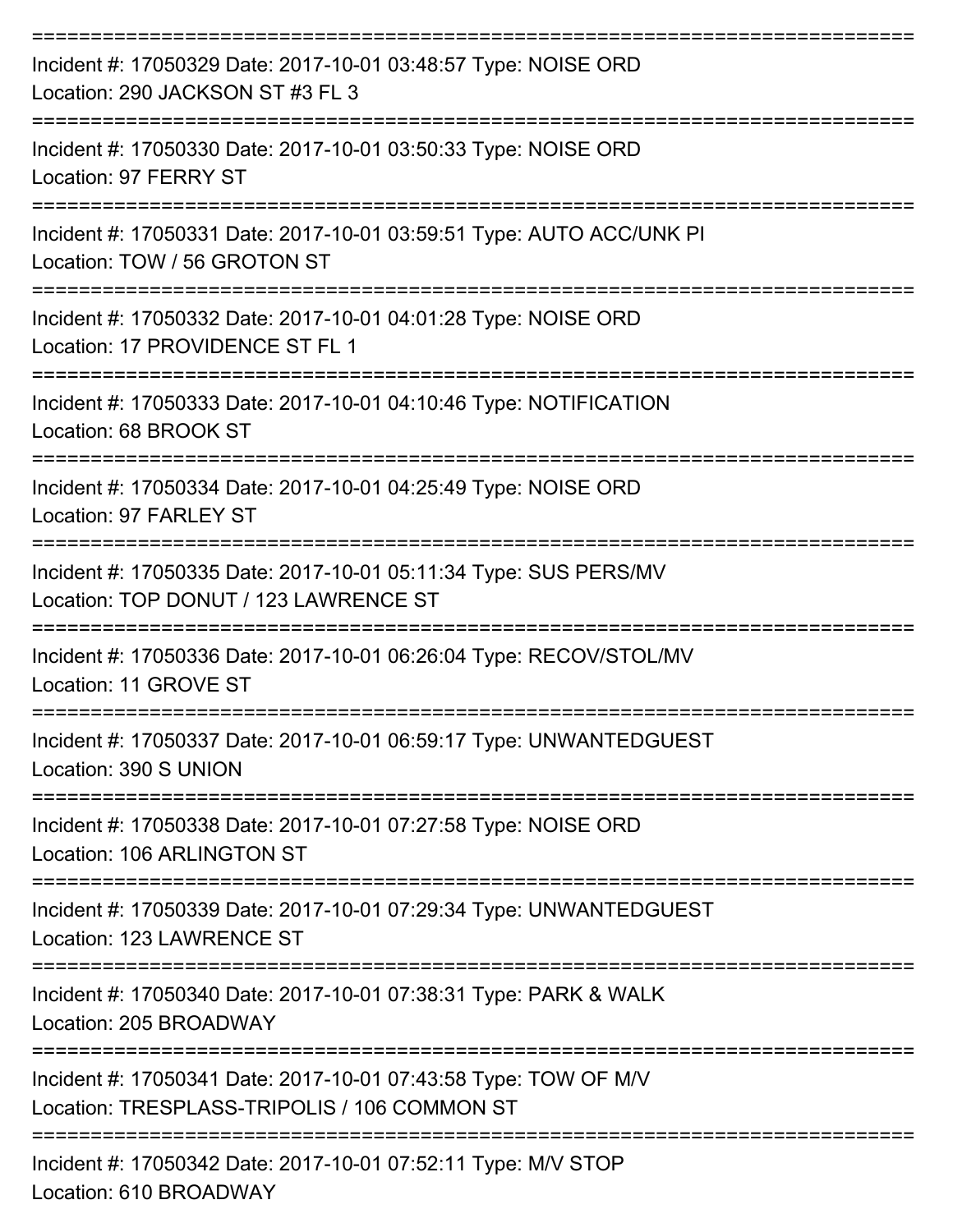| Incident #: 17050329 Date: 2017-10-01 03:48:57 Type: NOISE ORD<br>Location: 290 JACKSON ST #3 FL 3                   |
|----------------------------------------------------------------------------------------------------------------------|
| Incident #: 17050330 Date: 2017-10-01 03:50:33 Type: NOISE ORD<br>Location: 97 FERRY ST                              |
| Incident #: 17050331 Date: 2017-10-01 03:59:51 Type: AUTO ACC/UNK PI<br>Location: TOW / 56 GROTON ST                 |
| Incident #: 17050332 Date: 2017-10-01 04:01:28 Type: NOISE ORD<br>Location: 17 PROVIDENCE ST FL 1                    |
| Incident #: 17050333 Date: 2017-10-01 04:10:46 Type: NOTIFICATION<br>Location: 68 BROOK ST                           |
| Incident #: 17050334 Date: 2017-10-01 04:25:49 Type: NOISE ORD<br>Location: 97 FARLEY ST                             |
| Incident #: 17050335 Date: 2017-10-01 05:11:34 Type: SUS PERS/MV<br>Location: TOP DONUT / 123 LAWRENCE ST            |
| Incident #: 17050336 Date: 2017-10-01 06:26:04 Type: RECOV/STOL/MV<br>Location: 11 GROVE ST                          |
| Incident #: 17050337 Date: 2017-10-01 06:59:17 Type: UNWANTEDGUEST<br>Location: 390 S UNION                          |
| --------------------<br>Incident #: 17050338 Date: 2017-10-01 07:27:58 Type: NOISE ORD<br>Location: 106 ARLINGTON ST |
| Incident #: 17050339 Date: 2017-10-01 07:29:34 Type: UNWANTEDGUEST<br>Location: 123 LAWRENCE ST                      |
| Incident #: 17050340 Date: 2017-10-01 07:38:31 Type: PARK & WALK<br>Location: 205 BROADWAY                           |
| Incident #: 17050341 Date: 2017-10-01 07:43:58 Type: TOW OF M/V<br>Location: TRESPLASS-TRIPOLIS / 106 COMMON ST      |
| Incident #: 17050342 Date: 2017-10-01 07:52:11 Type: M/V STOP<br>Location: 610 BROADWAY                              |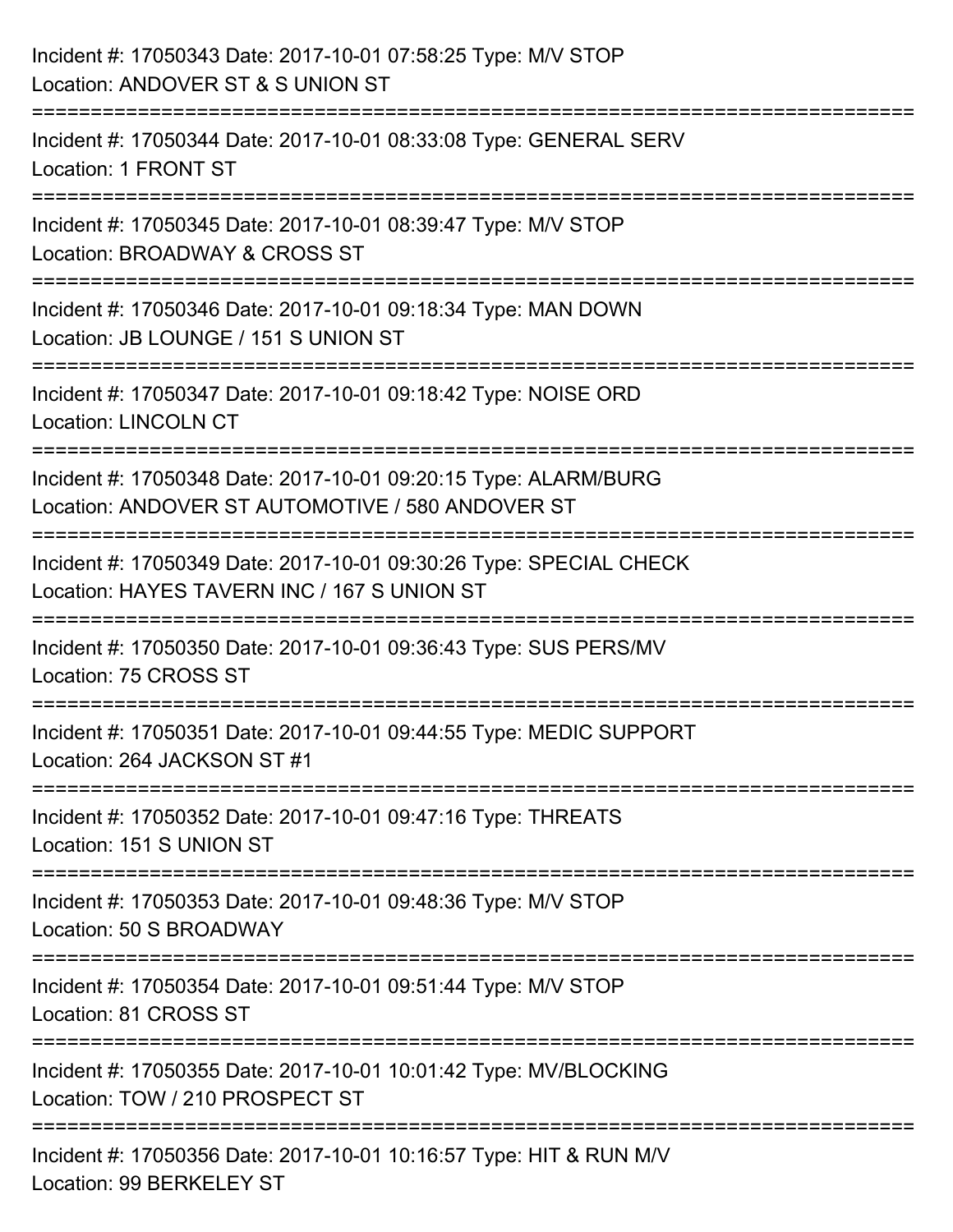| Incident #: 17050343 Date: 2017-10-01 07:58:25 Type: M/V STOP<br>Location: ANDOVER ST & S UNION ST                                                                    |
|-----------------------------------------------------------------------------------------------------------------------------------------------------------------------|
| =======================<br>Incident #: 17050344 Date: 2017-10-01 08:33:08 Type: GENERAL SERV<br>Location: 1 FRONT ST                                                  |
| Incident #: 17050345 Date: 2017-10-01 08:39:47 Type: M/V STOP<br>Location: BROADWAY & CROSS ST                                                                        |
| ==================================<br>Incident #: 17050346 Date: 2017-10-01 09:18:34 Type: MAN DOWN<br>Location: JB LOUNGE / 151 S UNION ST<br>---------------------- |
| Incident #: 17050347 Date: 2017-10-01 09:18:42 Type: NOISE ORD<br><b>Location: LINCOLN CT</b>                                                                         |
| Incident #: 17050348 Date: 2017-10-01 09:20:15 Type: ALARM/BURG<br>Location: ANDOVER ST AUTOMOTIVE / 580 ANDOVER ST                                                   |
| ===================<br>Incident #: 17050349 Date: 2017-10-01 09:30:26 Type: SPECIAL CHECK<br>Location: HAYES TAVERN INC / 167 S UNION ST                              |
| Incident #: 17050350 Date: 2017-10-01 09:36:43 Type: SUS PERS/MV<br>Location: 75 CROSS ST                                                                             |
| Incident #: 17050351 Date: 2017-10-01 09:44:55 Type: MEDIC SUPPORT<br>Location: 264 JACKSON ST #1                                                                     |
| Incident #: 17050352 Date: 2017-10-01 09:47:16 Type: THREATS<br>Location: 151 S UNION ST                                                                              |
| Incident #: 17050353 Date: 2017-10-01 09:48:36 Type: M/V STOP<br>Location: 50 S BROADWAY                                                                              |
| Incident #: 17050354 Date: 2017-10-01 09:51:44 Type: M/V STOP<br>Location: 81 CROSS ST                                                                                |
| Incident #: 17050355 Date: 2017-10-01 10:01:42 Type: MV/BLOCKING<br>Location: TOW / 210 PROSPECT ST                                                                   |
| Incident #: 17050356 Date: 2017-10-01 10:16:57 Type: HIT & RUN M/V<br>Location: 99 BERKELEY ST                                                                        |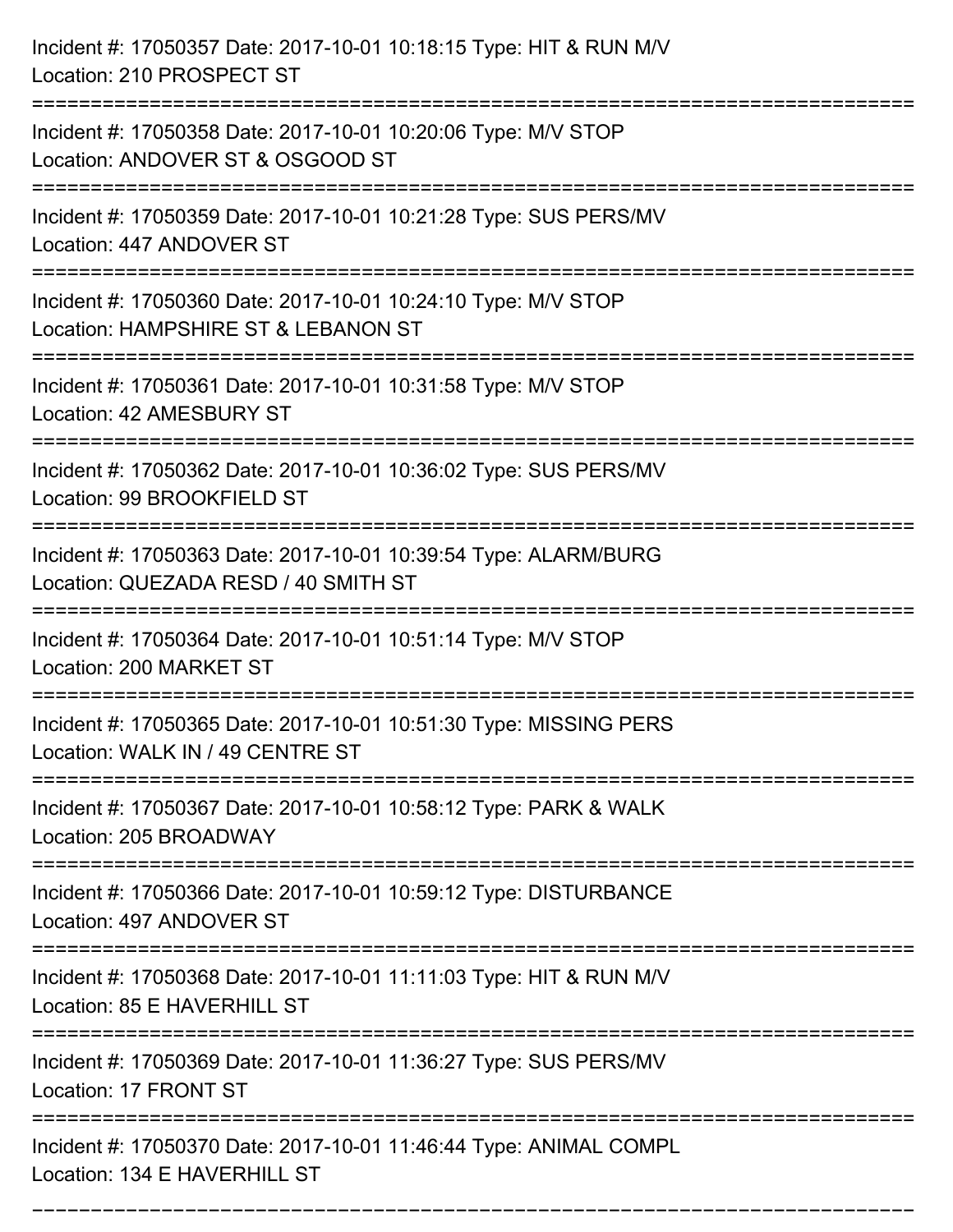| Incident #: 17050357 Date: 2017-10-01 10:18:15 Type: HIT & RUN M/V<br>Location: 210 PROSPECT ST           |
|-----------------------------------------------------------------------------------------------------------|
| Incident #: 17050358 Date: 2017-10-01 10:20:06 Type: M/V STOP<br>Location: ANDOVER ST & OSGOOD ST         |
| Incident #: 17050359 Date: 2017-10-01 10:21:28 Type: SUS PERS/MV<br>Location: 447 ANDOVER ST              |
| Incident #: 17050360 Date: 2017-10-01 10:24:10 Type: M/V STOP<br>Location: HAMPSHIRE ST & LEBANON ST      |
| Incident #: 17050361 Date: 2017-10-01 10:31:58 Type: M/V STOP<br>Location: 42 AMESBURY ST                 |
| Incident #: 17050362 Date: 2017-10-01 10:36:02 Type: SUS PERS/MV<br>Location: 99 BROOKFIELD ST            |
| Incident #: 17050363 Date: 2017-10-01 10:39:54 Type: ALARM/BURG<br>Location: QUEZADA RESD / 40 SMITH ST   |
| Incident #: 17050364 Date: 2017-10-01 10:51:14 Type: M/V STOP<br>Location: 200 MARKET ST                  |
| Incident #: 17050365 Date: 2017-10-01 10:51:30 Type: MISSING PERS<br>Location: WALK IN / 49 CENTRE ST     |
| :==========<br>Incident #: 17050367 Date: 2017-10-01 10:58:12 Type: PARK & WALK<br>Location: 205 BROADWAY |
| Incident #: 17050366 Date: 2017-10-01 10:59:12 Type: DISTURBANCE<br>Location: 497 ANDOVER ST              |
| Incident #: 17050368 Date: 2017-10-01 11:11:03 Type: HIT & RUN M/V<br>Location: 85 E HAVERHILL ST         |
| Incident #: 17050369 Date: 2017-10-01 11:36:27 Type: SUS PERS/MV<br>Location: 17 FRONT ST                 |
| Incident #: 17050370 Date: 2017-10-01 11:46:44 Type: ANIMAL COMPL<br>Location: 134 E HAVERHILL ST         |

===========================================================================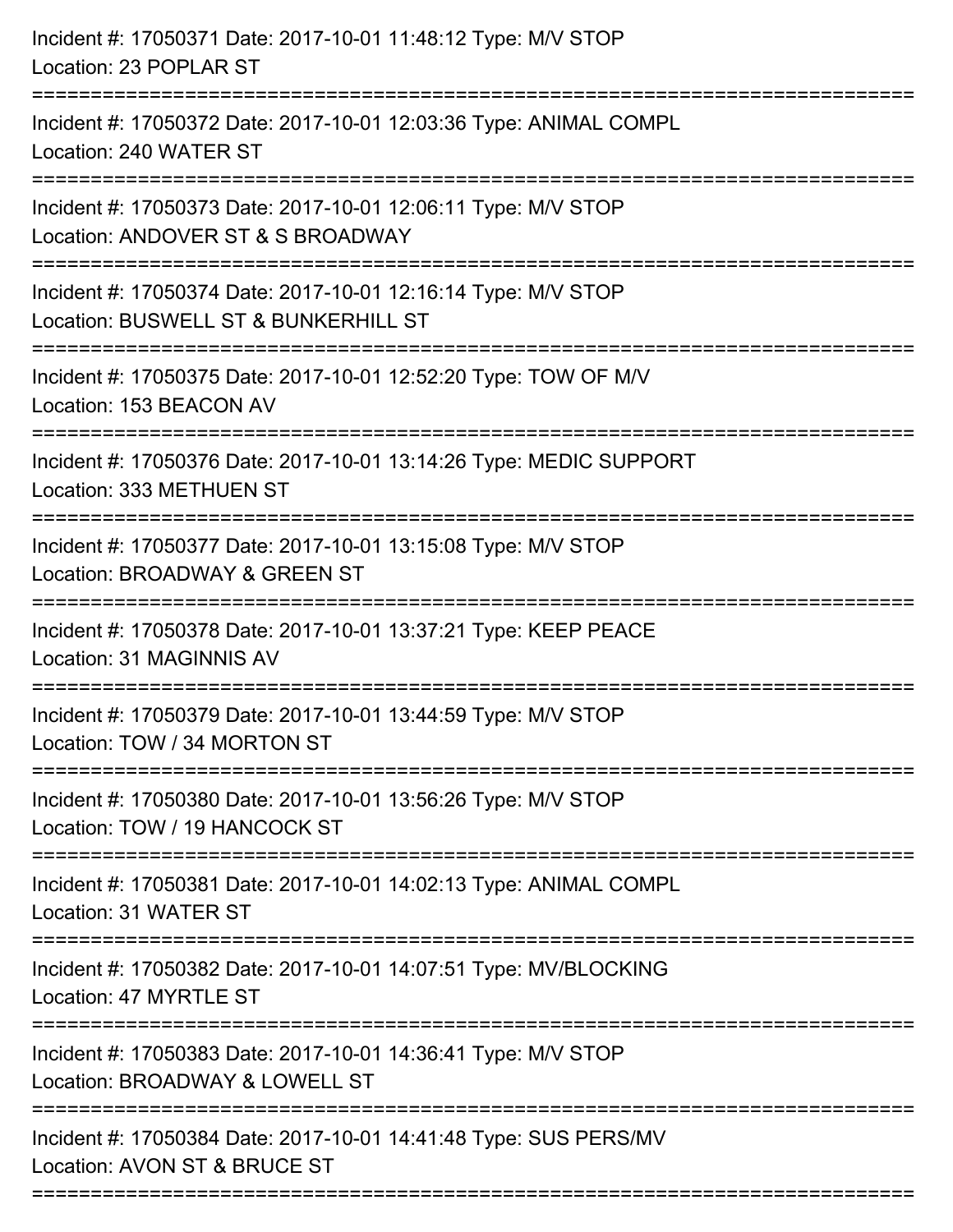| Incident #: 17050371 Date: 2017-10-01 11:48:12 Type: M/V STOP<br>Location: 23 POPLAR ST                                                 |
|-----------------------------------------------------------------------------------------------------------------------------------------|
| Incident #: 17050372 Date: 2017-10-01 12:03:36 Type: ANIMAL COMPL<br>Location: 240 WATER ST                                             |
| Incident #: 17050373 Date: 2017-10-01 12:06:11 Type: M/V STOP<br>Location: ANDOVER ST & S BROADWAY                                      |
| Incident #: 17050374 Date: 2017-10-01 12:16:14 Type: M/V STOP<br>Location: BUSWELL ST & BUNKERHILL ST<br>=========================      |
| Incident #: 17050375 Date: 2017-10-01 12:52:20 Type: TOW OF M/V<br>Location: 153 BEACON AV                                              |
| Incident #: 17050376 Date: 2017-10-01 13:14:26 Type: MEDIC SUPPORT<br>Location: 333 METHUEN ST<br>:==================================== |
| Incident #: 17050377 Date: 2017-10-01 13:15:08 Type: M/V STOP<br>Location: BROADWAY & GREEN ST                                          |
| Incident #: 17050378 Date: 2017-10-01 13:37:21 Type: KEEP PEACE<br>Location: 31 MAGINNIS AV                                             |
| Incident #: 17050379 Date: 2017-10-01 13:44:59 Type: M/V STOP<br>Location: TOW / 34 MORTON ST                                           |
| Incident #: 17050380 Date: 2017-10-01 13:56:26 Type: M/V STOP<br>Location: TOW / 19 HANCOCK ST                                          |
| Incident #: 17050381 Date: 2017-10-01 14:02:13 Type: ANIMAL COMPL<br>Location: 31 WATER ST                                              |
| Incident #: 17050382 Date: 2017-10-01 14:07:51 Type: MV/BLOCKING<br>Location: 47 MYRTLE ST                                              |
| Incident #: 17050383 Date: 2017-10-01 14:36:41 Type: M/V STOP<br>Location: BROADWAY & LOWELL ST                                         |
| Incident #: 17050384 Date: 2017-10-01 14:41:48 Type: SUS PERS/MV<br>Location: AVON ST & BRUCE ST                                        |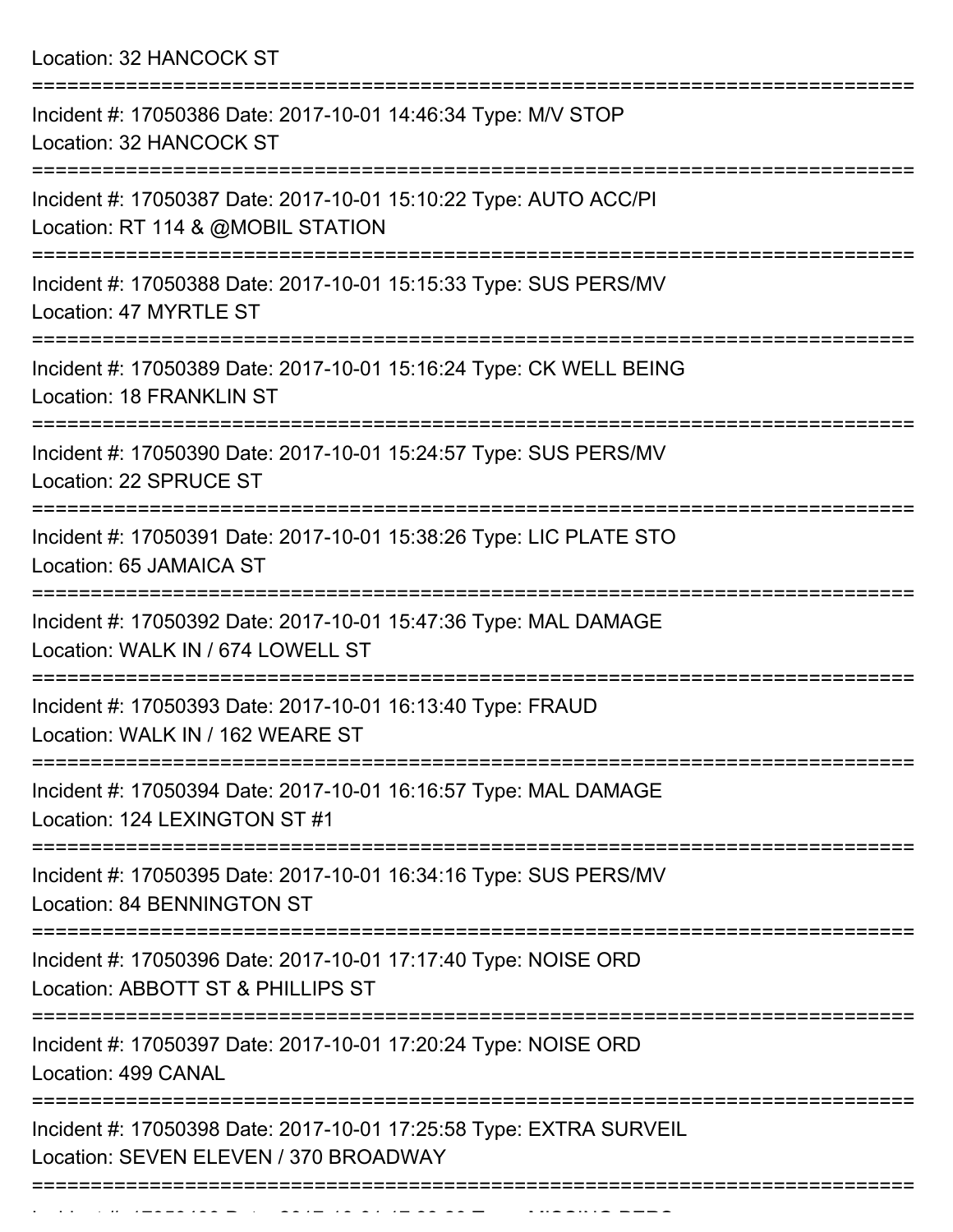Location: 32 HANCOCK ST

| Incident #: 17050386 Date: 2017-10-01 14:46:34 Type: M/V STOP<br>Location: 32 HANCOCK ST                              |
|-----------------------------------------------------------------------------------------------------------------------|
| Incident #: 17050387 Date: 2017-10-01 15:10:22 Type: AUTO ACC/PI<br>Location: RT 114 & @MOBIL STATION                 |
| Incident #: 17050388 Date: 2017-10-01 15:15:33 Type: SUS PERS/MV<br>Location: 47 MYRTLE ST                            |
| Incident #: 17050389 Date: 2017-10-01 15:16:24 Type: CK WELL BEING<br>Location: 18 FRANKLIN ST                        |
| Incident #: 17050390 Date: 2017-10-01 15:24:57 Type: SUS PERS/MV<br>Location: 22 SPRUCE ST                            |
| Incident #: 17050391 Date: 2017-10-01 15:38:26 Type: LIC PLATE STO<br>Location: 65 JAMAICA ST                         |
| Incident #: 17050392 Date: 2017-10-01 15:47:36 Type: MAL DAMAGE<br>Location: WALK IN / 674 LOWELL ST                  |
| Incident #: 17050393 Date: 2017-10-01 16:13:40 Type: FRAUD<br>Location: WALK IN / 162 WEARE ST                        |
| =================<br>Incident #: 17050394 Date: 2017-10-01 16:16:57 Type: MAL DAMAGE<br>Location: 124 LEXINGTON ST #1 |
| Incident #: 17050395 Date: 2017-10-01 16:34:16 Type: SUS PERS/MV<br><b>Location: 84 BENNINGTON ST</b>                 |
| Incident #: 17050396 Date: 2017-10-01 17:17:40 Type: NOISE ORD<br>Location: ABBOTT ST & PHILLIPS ST                   |
| Incident #: 17050397 Date: 2017-10-01 17:20:24 Type: NOISE ORD<br>Location: 499 CANAL                                 |
| Incident #: 17050398 Date: 2017-10-01 17:25:58 Type: EXTRA SURVEIL<br>Location: SEVEN ELEVEN / 370 BROADWAY           |
|                                                                                                                       |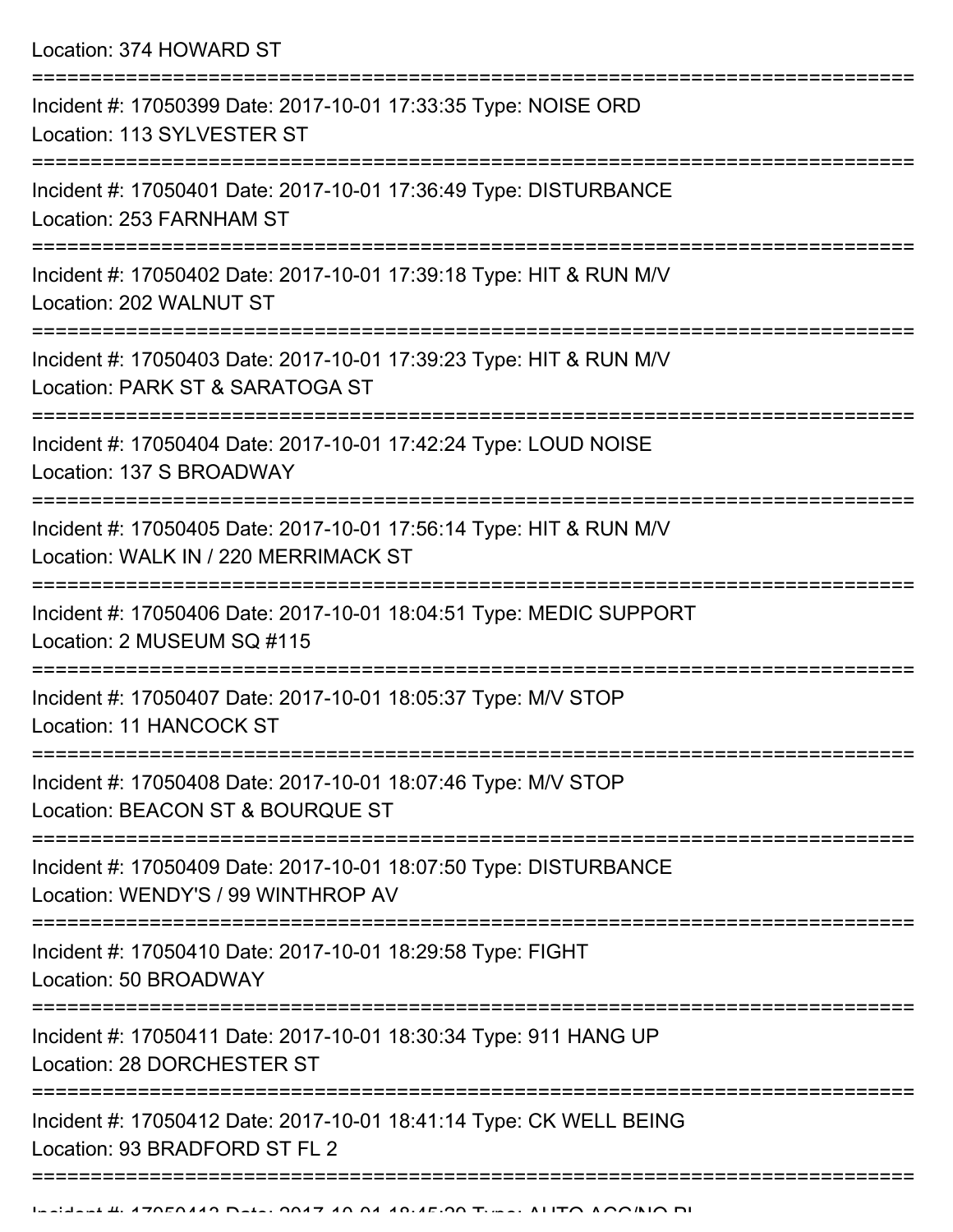Location: 374 HOWARD ST =========================================================================== Incident #: 17050399 Date: 2017-10-01 17:33:35 Type: NOISE ORD Location: 113 SYLVESTER ST =========================================================================== Incident #: 17050401 Date: 2017-10-01 17:36:49 Type: DISTURBANCE Location: 253 FARNHAM ST =========================================================================== Incident #: 17050402 Date: 2017-10-01 17:39:18 Type: HIT & RUN M/V Location: 202 WALNUT ST =========================================================================== Incident #: 17050403 Date: 2017-10-01 17:39:23 Type: HIT & RUN M/V Location: PARK ST & SARATOGA ST =========================================================================== Incident #: 17050404 Date: 2017-10-01 17:42:24 Type: LOUD NOISE Location: 137 S BROADWAY =========================================================================== Incident #: 17050405 Date: 2017-10-01 17:56:14 Type: HIT & RUN M/V Location: WALK IN / 220 MERRIMACK ST =========================================================================== Incident #: 17050406 Date: 2017-10-01 18:04:51 Type: MEDIC SUPPORT Location: 2 MUSEUM SQ #115 =========================================================================== Incident #: 17050407 Date: 2017-10-01 18:05:37 Type: M/V STOP Location: 11 HANCOCK ST =========================================================================== Incident #: 17050408 Date: 2017-10-01 18:07:46 Type: M/V STOP Location: BEACON ST & BOURQUE ST =========================================================================== Incident #: 17050409 Date: 2017-10-01 18:07:50 Type: DISTURBANCE Location: WENDY'S / 99 WINTHROP AV =========================================================================== Incident #: 17050410 Date: 2017-10-01 18:29:58 Type: FIGHT Location: 50 BROADWAY =========================================================================== Incident #: 17050411 Date: 2017-10-01 18:30:34 Type: 911 HANG UP Location: 28 DORCHESTER ST =========================================================================== Incident #: 17050412 Date: 2017-10-01 18:41:14 Type: CK WELL BEING Location: 93 BRADFORD ST FL 2

===========================================================================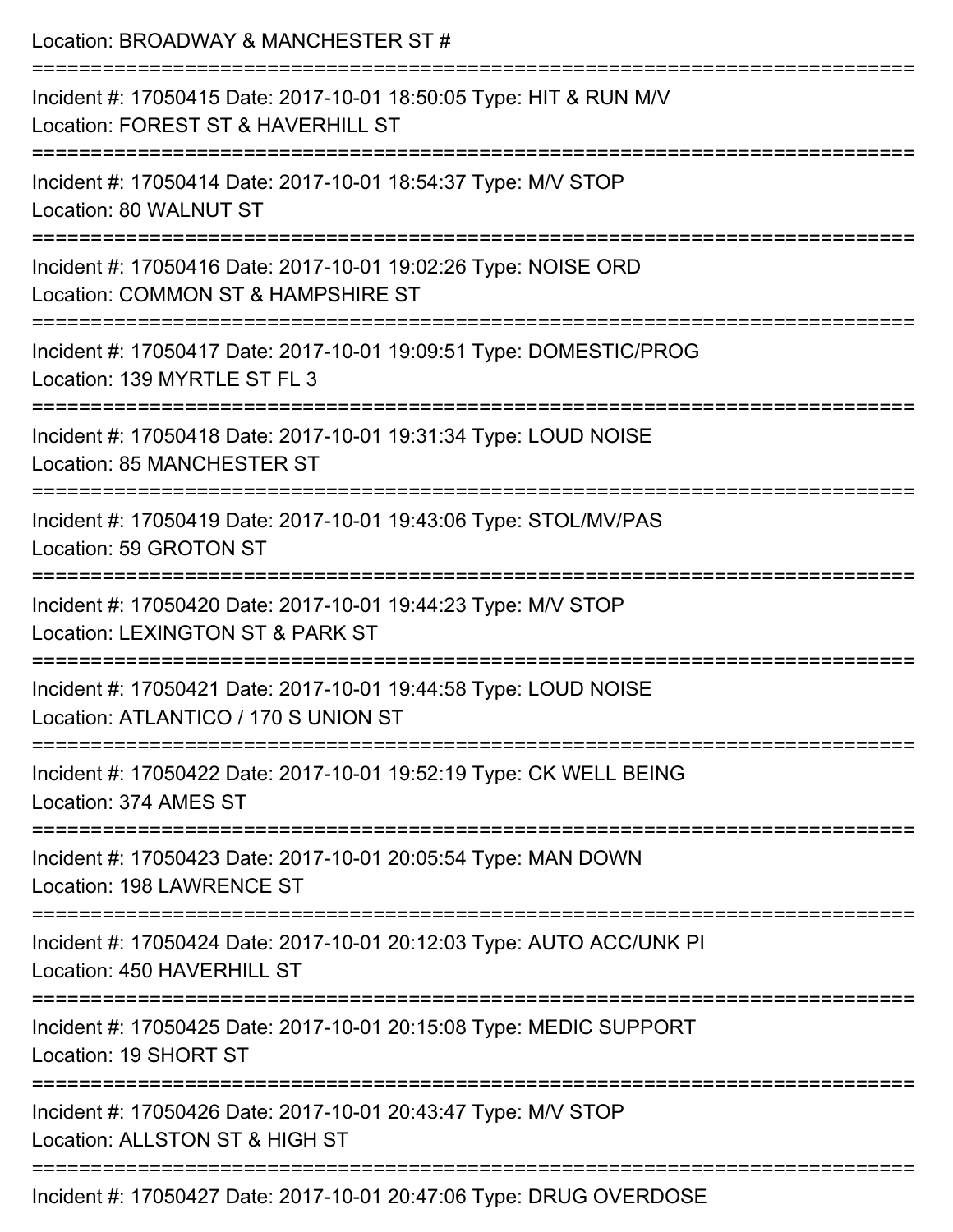| Location: BROADWAY & MANCHESTER ST #                                                                                           |
|--------------------------------------------------------------------------------------------------------------------------------|
| Incident #: 17050415 Date: 2017-10-01 18:50:05 Type: HIT & RUN M/V<br>Location: FOREST ST & HAVERHILL ST                       |
| Incident #: 17050414 Date: 2017-10-01 18:54:37 Type: M/V STOP<br>Location: 80 WALNUT ST                                        |
| Incident #: 17050416 Date: 2017-10-01 19:02:26 Type: NOISE ORD<br>Location: COMMON ST & HAMPSHIRE ST<br>====================== |
| Incident #: 17050417 Date: 2017-10-01 19:09:51 Type: DOMESTIC/PROG<br>Location: 139 MYRTLE ST FL 3                             |
| Incident #: 17050418 Date: 2017-10-01 19:31:34 Type: LOUD NOISE<br><b>Location: 85 MANCHESTER ST</b>                           |
| Incident #: 17050419 Date: 2017-10-01 19:43:06 Type: STOL/MV/PAS<br>Location: 59 GROTON ST                                     |
| Incident #: 17050420 Date: 2017-10-01 19:44:23 Type: M/V STOP<br>Location: LEXINGTON ST & PARK ST                              |
| Incident #: 17050421 Date: 2017-10-01 19:44:58 Type: LOUD NOISE<br>Location: ATLANTICO / 170 S UNION ST                        |
| Incident #: 17050422 Date: 2017-10-01 19:52:19 Type: CK WELL BEING<br>Location: 374 AMES ST                                    |
| Incident #: 17050423 Date: 2017-10-01 20:05:54 Type: MAN DOWN<br>Location: 198 LAWRENCE ST                                     |
| Incident #: 17050424 Date: 2017-10-01 20:12:03 Type: AUTO ACC/UNK PI<br>Location: 450 HAVERHILL ST                             |
| Incident #: 17050425 Date: 2017-10-01 20:15:08 Type: MEDIC SUPPORT<br>Location: 19 SHORT ST                                    |
| Incident #: 17050426 Date: 2017-10-01 20:43:47 Type: M/V STOP<br>Location: ALLSTON ST & HIGH ST                                |
| Incident #: 17050427 Date: 2017-10-01 20:47:06 Type: DRUG OVERDOSE                                                             |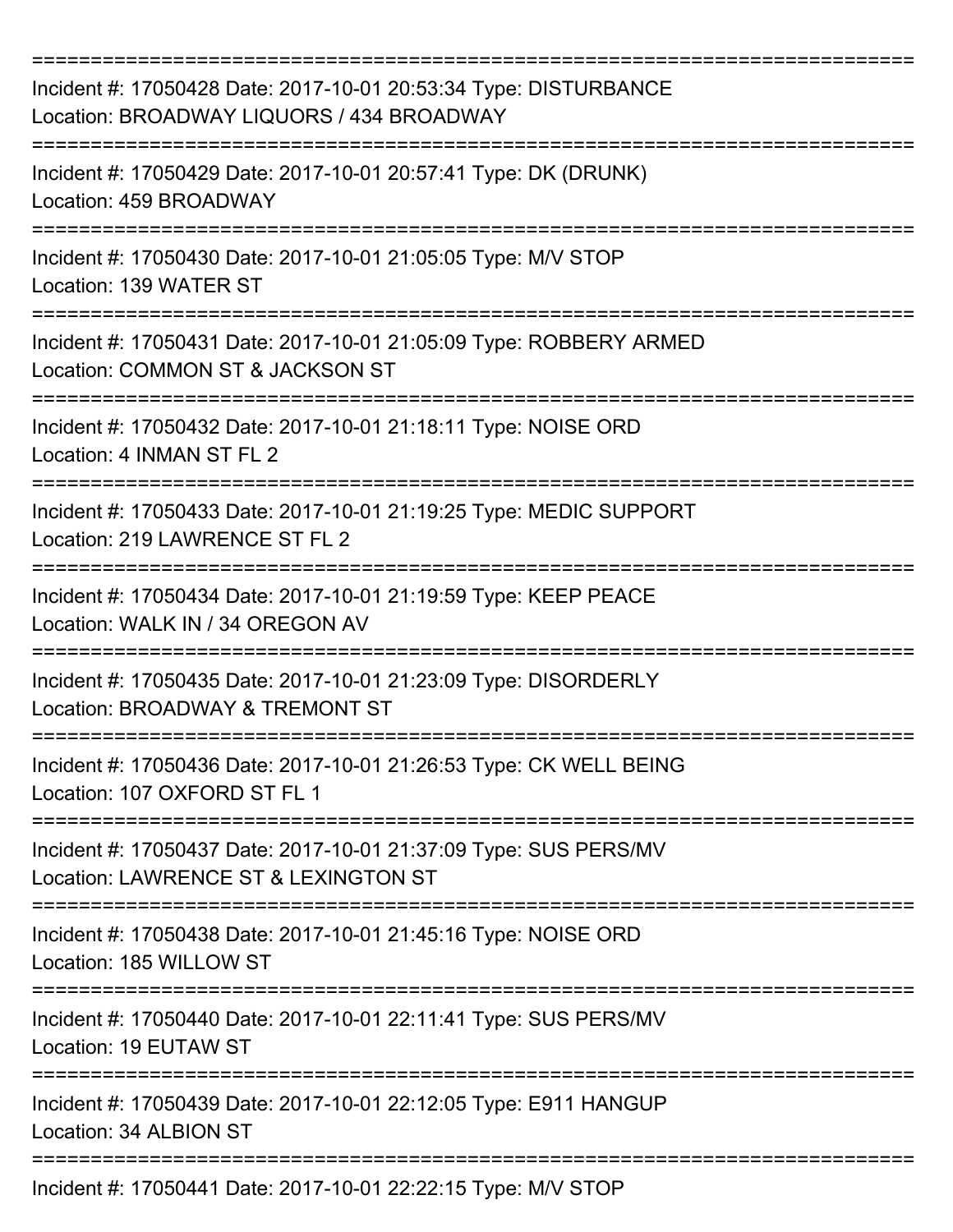| Incident #: 17050428 Date: 2017-10-01 20:53:34 Type: DISTURBANCE<br>Location: BROADWAY LIQUORS / 434 BROADWAY<br>------------- |
|--------------------------------------------------------------------------------------------------------------------------------|
| Incident #: 17050429 Date: 2017-10-01 20:57:41 Type: DK (DRUNK)<br>Location: 459 BROADWAY                                      |
| ====================<br>Incident #: 17050430 Date: 2017-10-01 21:05:05 Type: M/V STOP<br>Location: 139 WATER ST                |
| Incident #: 17050431 Date: 2017-10-01 21:05:09 Type: ROBBERY ARMED<br>Location: COMMON ST & JACKSON ST                         |
| Incident #: 17050432 Date: 2017-10-01 21:18:11 Type: NOISE ORD<br>Location: 4 INMAN ST FL 2                                    |
| Incident #: 17050433 Date: 2017-10-01 21:19:25 Type: MEDIC SUPPORT<br>Location: 219 LAWRENCE ST FL 2                           |
| Incident #: 17050434 Date: 2017-10-01 21:19:59 Type: KEEP PEACE<br>Location: WALK IN / 34 OREGON AV                            |
| Incident #: 17050435 Date: 2017-10-01 21:23:09 Type: DISORDERLY<br>Location: BROADWAY & TREMONT ST                             |
| Incident #: 17050436 Date: 2017-10-01 21:26:53 Type: CK WELL BEING<br>Location: 107 OXFORD ST FL 1                             |
| Incident #: 17050437 Date: 2017-10-01 21:37:09 Type: SUS PERS/MV<br>Location: LAWRENCE ST & LEXINGTON ST                       |
| Incident #: 17050438 Date: 2017-10-01 21:45:16 Type: NOISE ORD<br>Location: 185 WILLOW ST                                      |
| Incident #: 17050440 Date: 2017-10-01 22:11:41 Type: SUS PERS/MV<br>Location: 19 EUTAW ST                                      |
| Incident #: 17050439 Date: 2017-10-01 22:12:05 Type: E911 HANGUP<br>Location: 34 ALBION ST                                     |
| Incident #: 17050441 Date: 2017-10-01 22:22:15 Type: M/V STOP                                                                  |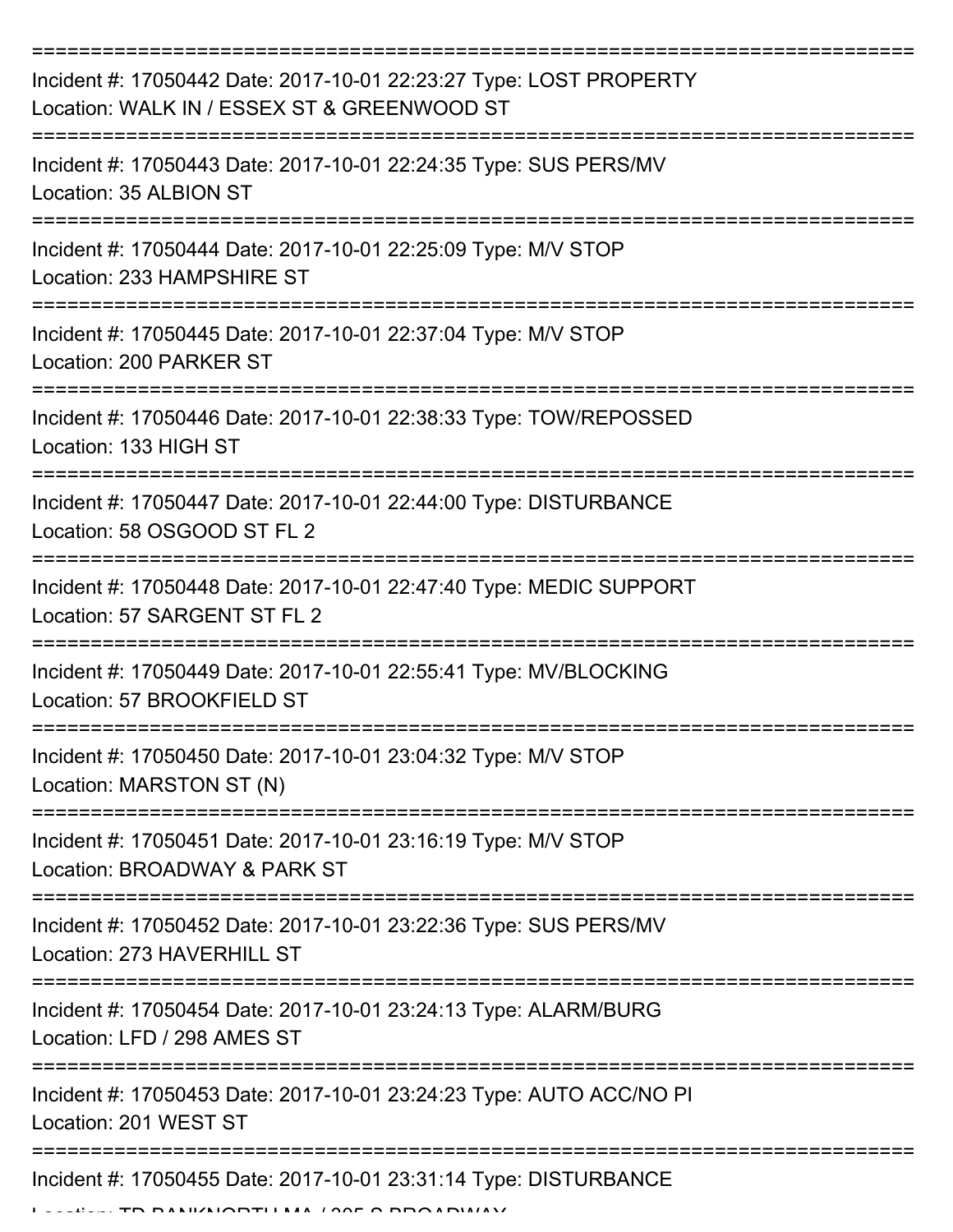| Incident #: 17050442 Date: 2017-10-01 22:23:27 Type: LOST PROPERTY<br>Location: WALK IN / ESSEX ST & GREENWOOD ST |
|-------------------------------------------------------------------------------------------------------------------|
| Incident #: 17050443 Date: 2017-10-01 22:24:35 Type: SUS PERS/MV<br>Location: 35 ALBION ST                        |
| Incident #: 17050444 Date: 2017-10-01 22:25:09 Type: M/V STOP<br>Location: 233 HAMPSHIRE ST                       |
| Incident #: 17050445 Date: 2017-10-01 22:37:04 Type: M/V STOP<br>Location: 200 PARKER ST                          |
| Incident #: 17050446 Date: 2017-10-01 22:38:33 Type: TOW/REPOSSED<br>Location: 133 HIGH ST                        |
| Incident #: 17050447 Date: 2017-10-01 22:44:00 Type: DISTURBANCE<br>Location: 58 OSGOOD ST FL 2                   |
| Incident #: 17050448 Date: 2017-10-01 22:47:40 Type: MEDIC SUPPORT<br>Location: 57 SARGENT ST FL 2                |
| Incident #: 17050449 Date: 2017-10-01 22:55:41 Type: MV/BLOCKING<br>Location: 57 BROOKFIELD ST                    |
| Incident #: 17050450 Date: 2017-10-01 23:04:32 Type: M/V STOP<br>Location: MARSTON ST (N)                         |
| Incident #: 17050451 Date: 2017-10-01 23:16:19 Type: M/V STOP<br>Location: BROADWAY & PARK ST                     |
| Incident #: 17050452 Date: 2017-10-01 23:22:36 Type: SUS PERS/MV<br>Location: 273 HAVERHILL ST                    |
| Incident #: 17050454 Date: 2017-10-01 23:24:13 Type: ALARM/BURG<br>Location: LFD / 298 AMES ST                    |
| Incident #: 17050453 Date: 2017-10-01 23:24:23 Type: AUTO ACC/NO PI<br>Location: 201 WEST ST                      |
| Incident #: 17050455 Date: 2017-10-01 23:31:14 Type: DISTURBANCE<br>ANII/NIODTILIMA LOOF O DDO ADIAIAV            |